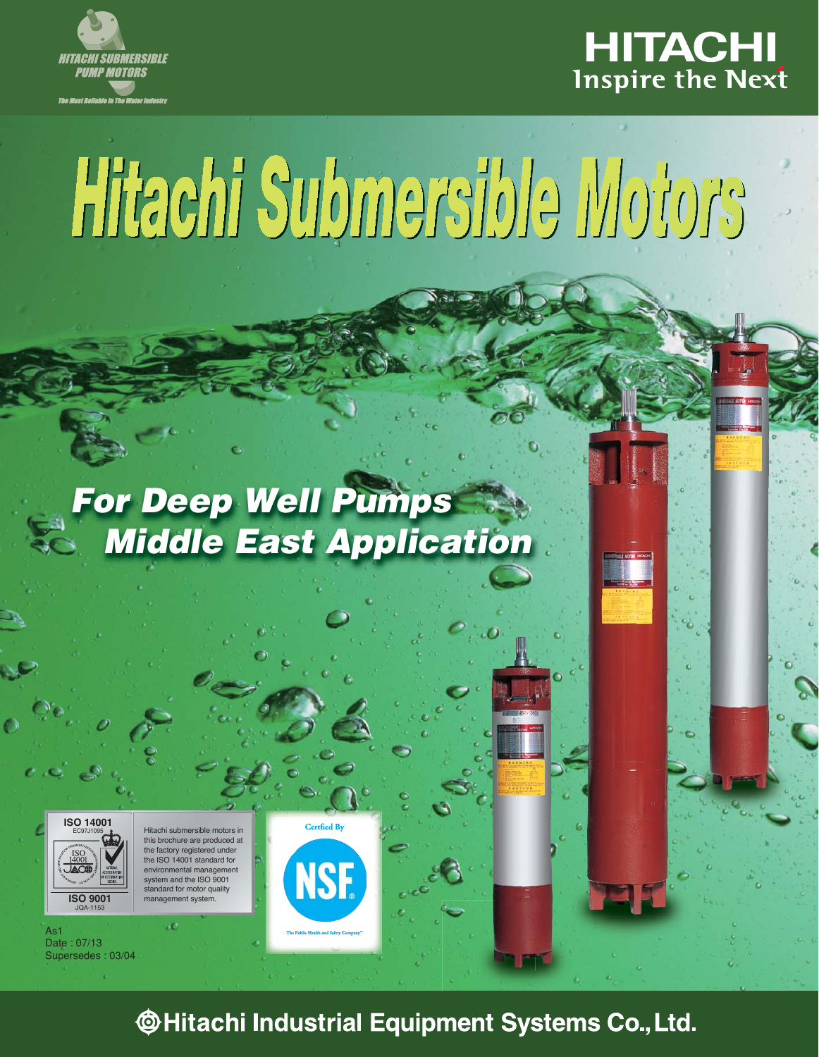



# Hitachi Submersible Motors

# *For Deep Well Pumps Middle East Application*



Hitachi submersible motors in brochure are produced at the factory registered under the ISO 14001 standard for environmental management the  $ISO$  9001 rd for motor quality management system.

As1 Date : 07/13 Supersedes : 03/04

Certfied By **NSF** 

**@Hitachi Industrial Equipment Systems Co., Ltd.**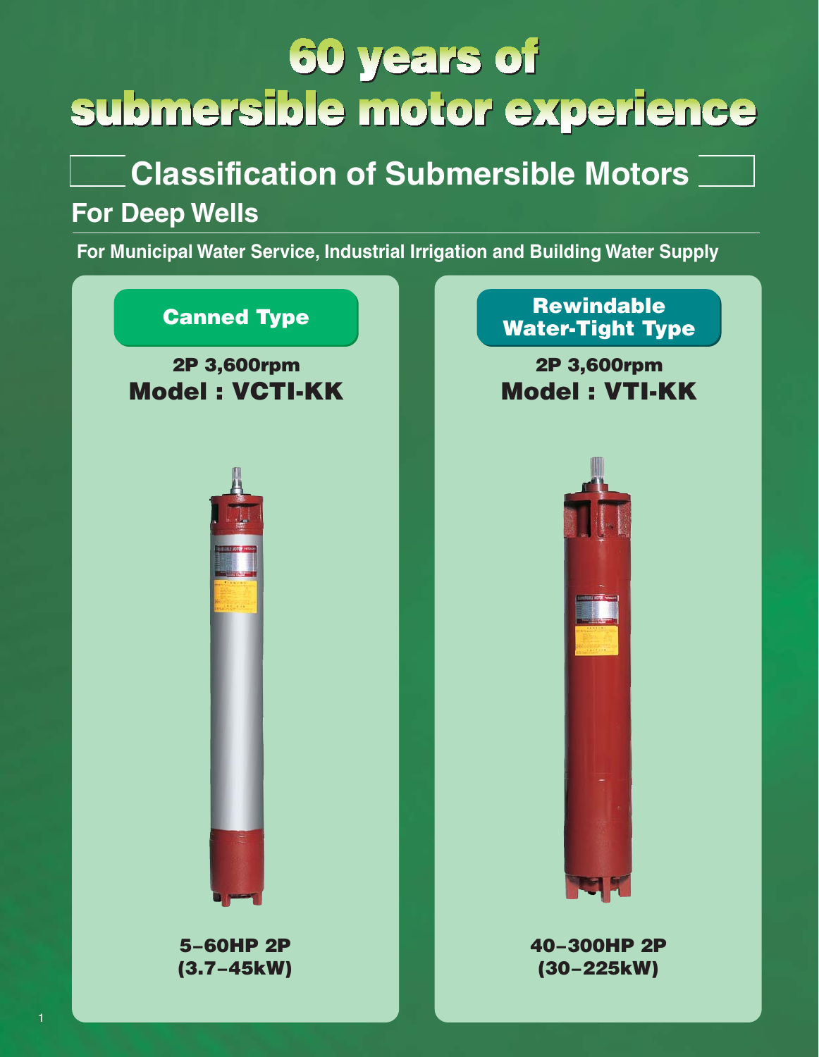# **60 years of** submersible motor experience

# **Classification of Submersible Motors**

## **For Deep Wells**

**For Municipal Water Service, Industrial Irrigation and Building Water Supply**

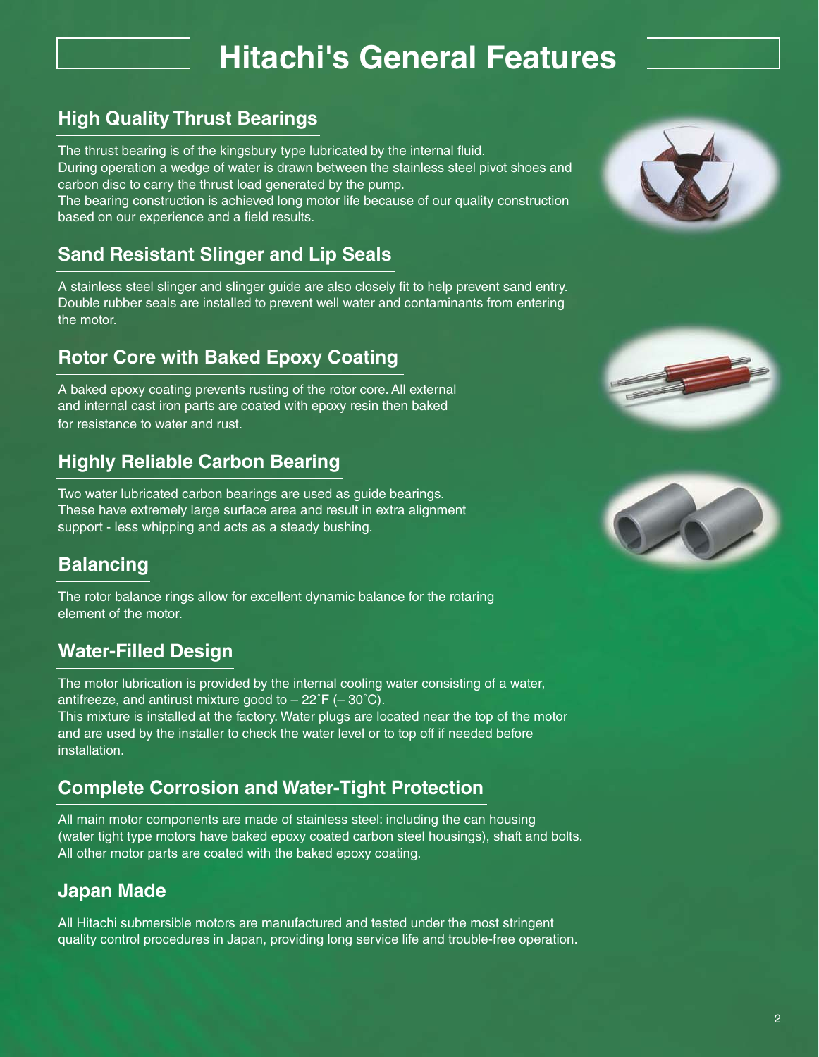## **Hitachi's General Features**

## **High Quality Thrust Bearings**

The thrust bearing is of the kingsbury type lubricated by the internal fluid.

During operation a wedge of water is drawn between the stainless steel pivot shoes and carbon disc to carry the thrust load generated by the pump.

The bearing construction is achieved long motor life because of our quality construction based on our experience and a field results.

## **Sand Resistant Slinger and Lip Seals**

A stainless steel slinger and slinger guide are also closely fit to help prevent sand entry. Double rubber seals are installed to prevent well water and contaminants from entering the motor.

## **Rotor Core with Baked Epoxy Coating**

A baked epoxy coating prevents rusting of the rotor core. All external and internal cast iron parts are coated with epoxy resin then baked for resistance to water and rust.

## **Highly Reliable Carbon Bearing**

Two water lubricated carbon bearings are used as guide bearings. These have extremely large surface area and result in extra alignment support - less whipping and acts as a steady bushing.

### **Balancing**

The rotor balance rings allow for excellent dynamic balance for the rotaring element of the motor.

## **Water-Filled Design**

The motor lubrication is provided by the internal cooling water consisting of a water, antifreeze, and antirust mixture good to  $-22^{\circ}F$  ( $-30^{\circ}C$ ). This mixture is installed at the factory. Water plugs are located near the top of the motor and are used by the installer to check the water level or to top off if needed before installation.

## **Complete Corrosion and Water-Tight Protection**

All main motor components are made of stainless steel: including the can housing (water tight type motors have baked epoxy coated carbon steel housings), shaft and bolts. All other motor parts are coated with the baked epoxy coating.

### **Japan Made**

All Hitachi submersible motors are manufactured and tested under the most stringent quality control procedures in Japan, providing long service life and trouble-free operation.





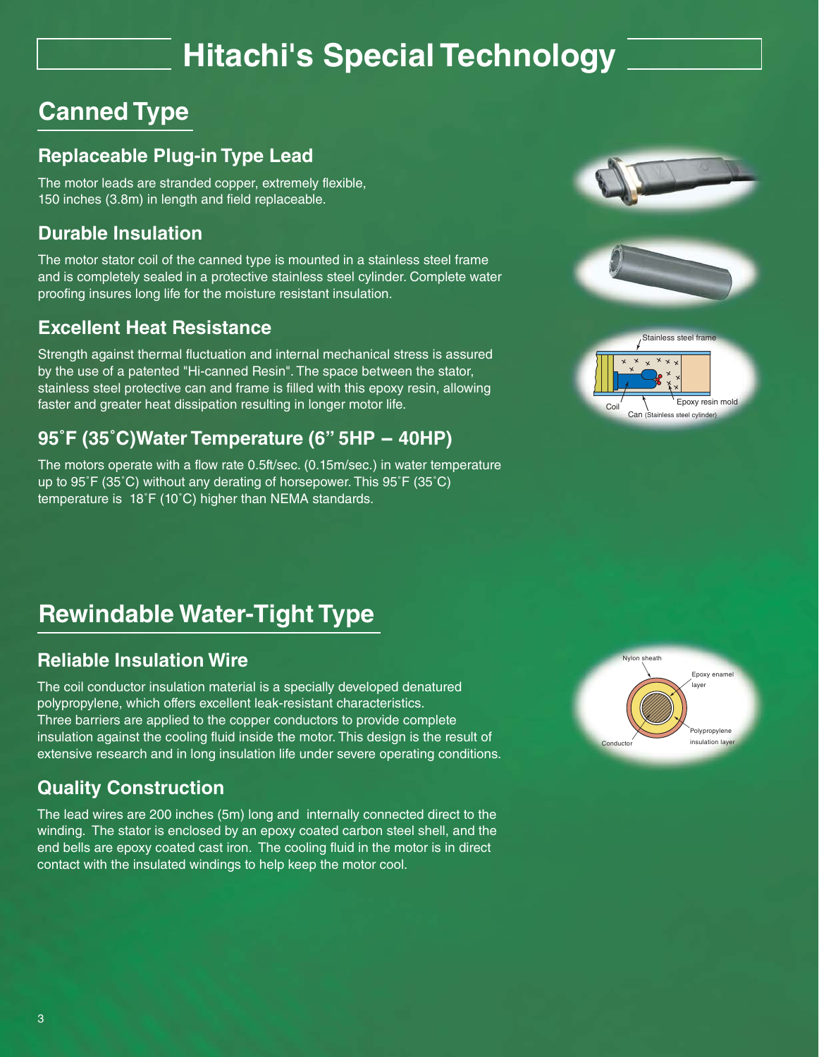# **Hitachi's Special Technology**

## **Canned Type**

### **Replaceable Plug-in Type Lead**

The motor leads are stranded copper, extremely flexible, 150 inches (3.8m) in length and field replaceable.

#### **Durable Insulation**

The motor stator coil of the canned type is mounted in a stainless steel frame and is completely sealed in a protective stainless steel cylinder. Complete water proofing insures long life for the moisture resistant insulation.

#### **Excellent Heat Resistance**

Strength against thermal fluctuation and internal mechanical stress is assured by the use of a patented "Hi-canned Resin". The space between the stator, stainless steel protective can and frame is filled with this epoxy resin, allowing faster and greater heat dissipation resulting in longer motor life.

## **95˚F (35˚C)Water Temperature (6" 5HP - 40HP)**

The motors operate with a flow rate 0.5ft/sec. (0.15m/sec.) in water temperature up to 95˚F (35˚C) without any derating of horsepower. This 95˚F (35˚C) temperature is 18˚F (10˚C) higher than NEMA standards.

## **Rewindable Water-Tight Type**

#### **Reliable Insulation Wire**

The coil conductor insulation material is a specially developed denatured polypropylene, which offers excellent leak-resistant characteristics. Three barriers are applied to the copper conductors to provide complete insulation against the cooling fluid inside the motor. This design is the result of extensive research and in long insulation life under severe operating conditions.

## **Quality Construction**

The lead wires are 200 inches (5m) long and internally connected direct to the winding. The stator is enclosed by an epoxy coated carbon steel shell, and the end bells are epoxy coated cast iron. The cooling fluid in the motor is in direct contact with the insulated windings to help keep the motor cool.







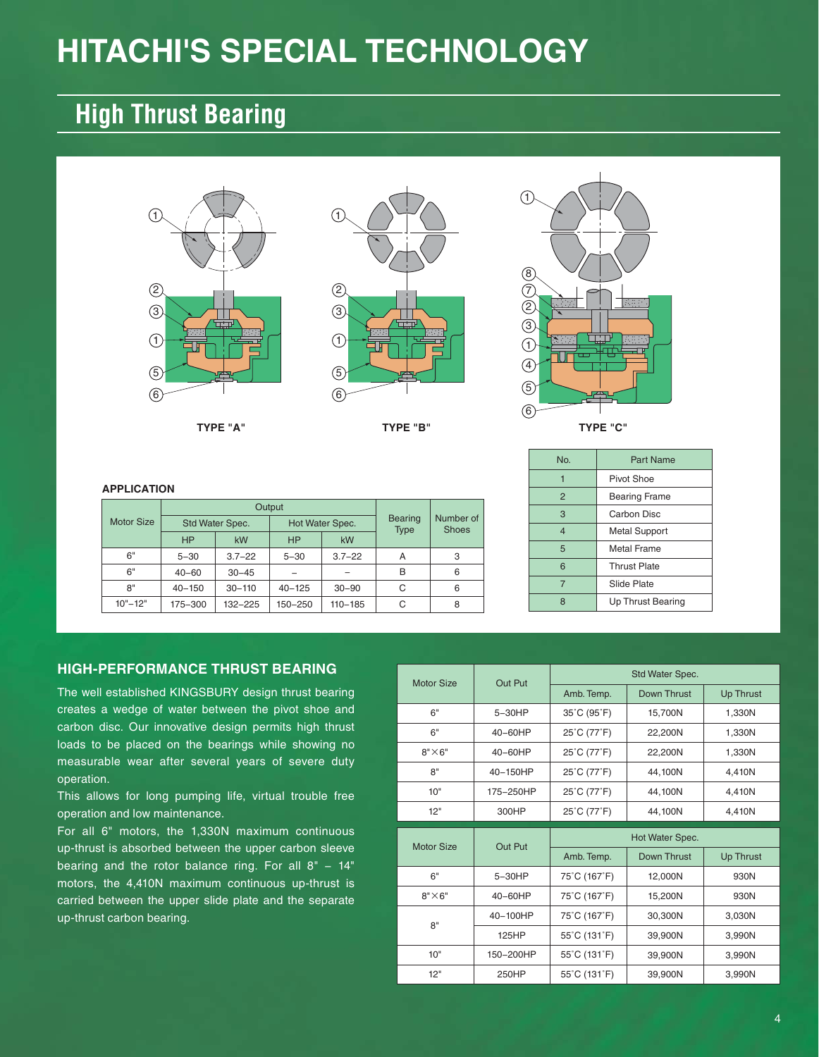# **HITACHI'S SPECIAL TECHNOLOGY**

## **High Thrust Bearing**







|                   |            | Output          |            |                 |                               |                           |  |
|-------------------|------------|-----------------|------------|-----------------|-------------------------------|---------------------------|--|
| <b>Motor Size</b> |            | Std Water Spec. |            | Hot Water Spec. | <b>Bearing</b><br><b>Type</b> | Number of<br><b>Shoes</b> |  |
|                   | <b>HP</b>  | kW              | <b>HP</b>  | kW              |                               |                           |  |
| 6"                | $5 - 30$   | $3.7 - 22$      | $5 - 30$   | $3.7 - 22$      | A                             | 3                         |  |
| 6"                | $40 - 60$  | $30 - 45$       |            |                 | в                             | 6                         |  |
| 8"                | $40 - 150$ | $30 - 110$      | $40 - 125$ | $30 - 90$       | С                             | 6                         |  |
| $10" - 12"$       | 175-300    | 132-225         | 150-250    | $110 - 185$     | C                             | 8                         |  |

| No             | <b>Part Name</b>         |
|----------------|--------------------------|
| 1              | Pivot Shoe               |
| $\overline{2}$ | <b>Bearing Frame</b>     |
| 3              | Carbon Disc              |
| $\overline{4}$ | <b>Metal Support</b>     |
| 5              | Metal Frame              |
| 6              | <b>Thrust Plate</b>      |
| 7              | Slide Plate              |
| 8              | <b>Up Thrust Bearing</b> |

#### **HIGH-PERFORMANCE THRUST BEARING**

The well established KINGSBURY design thrust bearing creates a wedge of water between the pivot shoe and carbon disc. Our innovative design permits high thrust loads to be placed on the bearings while showing no measurable wear after several years of severe duty operation.

This allows for long pumping life, virtual trouble free operation and low maintenance.

For all 6" motors, the 1,330N maximum continuous up-thrust is absorbed between the upper carbon sleeve bearing and the rotor balance ring. For all 8" - 14" motors, the 4,410N maximum continuous up-thrust is carried between the upper slide plate and the separate up-thrust carbon bearing.

| <b>Motor Size</b> | Out Put        |              | Std Water Spec. |                  |  |
|-------------------|----------------|--------------|-----------------|------------------|--|
|                   |                | Amb. Temp.   | Down Thrust     | <b>Up Thrust</b> |  |
| 6"                | 5-30HP         | 35°C (95°F)  | 15,700N         | 1,330N           |  |
| 6"                | 40-60HP        | 25°C (77°F)  | 22,200N         | 1,330N           |  |
| $8" \times 6"$    | 40-60HP        | 25°C (77°F)  | 22,200N         | 1,330N           |  |
| 8"                | 40-150HP       | 25°C (77°F)  | 44,100N         | 4,410N           |  |
| 10"               | 175-250HP      | 25°C (77°F)  | 44,100N         | 4,410N           |  |
| 12"               | 300HP          | 25°C (77°F)  | 44,100N         | 4.410N           |  |
|                   |                |              |                 |                  |  |
|                   |                |              |                 |                  |  |
|                   |                |              | Hot Water Spec. |                  |  |
| <b>Motor Size</b> | <b>Out Put</b> | Amb. Temp.   | Down Thrust     | <b>Up Thrust</b> |  |
| 6"                | 5-30HP         | 75°C (167°F) | 12,000N         | 930N             |  |
| $8" \times 6"$    | 40-60HP        | 75°C (167°F) | 15,200N         | 930N             |  |
|                   | 40-100HP       | 75°C (167°F) | 30,300N         | 3,030N           |  |
| 8"                | 125HP          | 55°C (131°F) | 39,900N         | 3,990N           |  |
| 10"               | 150-200HP      | 55°C (131°F) | 39,900N         | 3,990N           |  |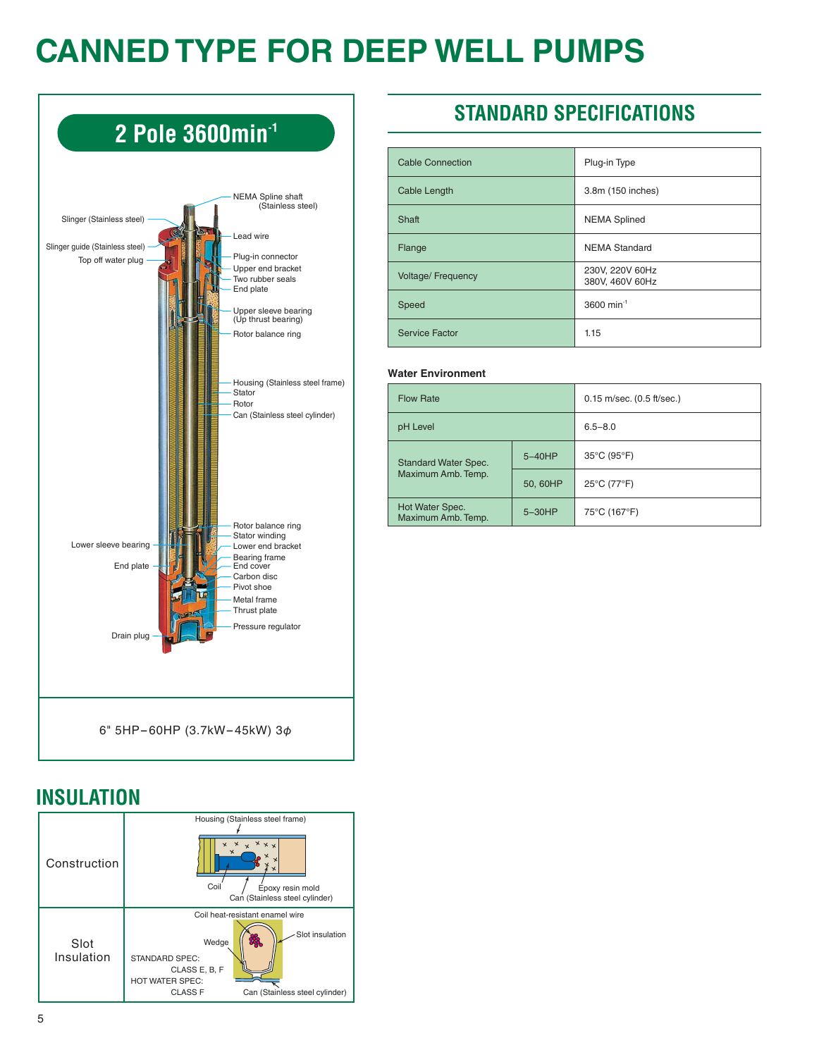# **CANNED TYPE FOR DEEP WELL PUMPS**



## **INSULATION**

| Construction       | Housing (Stainless steel frame)<br>$x \times x$<br>x<br>Coil<br>Epoxy resin mold<br>Can (Stainless steel cylinder)                                                           |
|--------------------|------------------------------------------------------------------------------------------------------------------------------------------------------------------------------|
| Slot<br>Insulation | Coil heat-resistant enamel wire<br>Slot insulation<br>Wedge<br><b>STANDARD SPEC:</b><br>CLASS E, B, F<br>HOT WATER SPEC:<br><b>CLASS F</b><br>Can (Stainless steel cylinder) |

## **STANDARD SPECIFICATIONS**

| <b>Cable Connection</b>   | Plug-in Type                       |
|---------------------------|------------------------------------|
| <b>Cable Length</b>       | 3.8m (150 inches)                  |
| Shaft                     | <b>NEMA Splined</b>                |
| Flange                    | <b>NEMA Standard</b>               |
| <b>Voltage/ Frequency</b> | 230V, 220V 60Hz<br>380V, 460V 60Hz |
| Speed                     | 3600 min <sup>-1</sup>             |
| <b>Service Factor</b>     | 1.15                               |

#### **Water Environment**

| <b>Flow Rate</b>                      |          | $0.15$ m/sec. $(0.5$ ft/sec.) |  |  |
|---------------------------------------|----------|-------------------------------|--|--|
| pH Level                              |          | $6.5 - 8.0$                   |  |  |
| <b>Standard Water Spec.</b>           | $5-40HP$ | 35°C (95°F)                   |  |  |
| Maximum Amb. Temp.                    | 50, 60HP | 25°C (77°F)                   |  |  |
| Hot Water Spec.<br>Maximum Amb. Temp. | $5-30HP$ | 75°C (167°F)                  |  |  |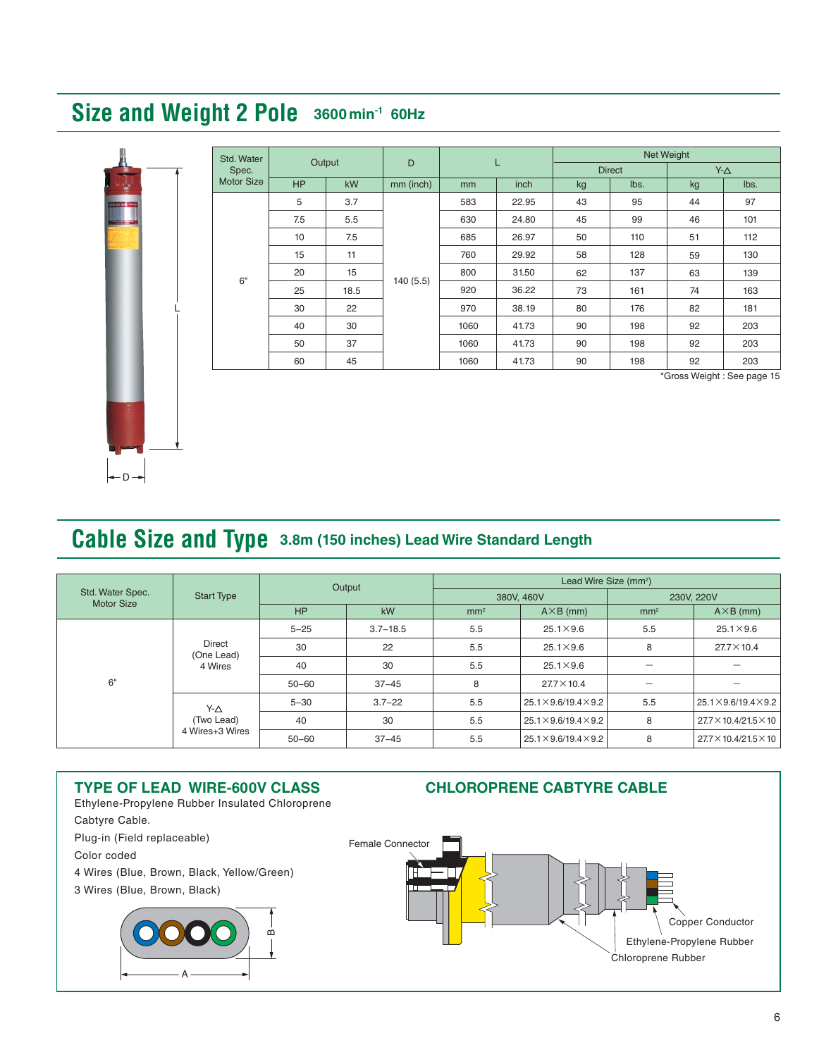## **Size and Weight 2 Pole 3600min-1 60Hz**



| Std. Water        | Output    |           | D         |      | Net Weight |               |      |            |      |
|-------------------|-----------|-----------|-----------|------|------------|---------------|------|------------|------|
| Spec.             |           |           |           | L    |            | <b>Direct</b> |      | $Y-\Delta$ |      |
| <b>Motor Size</b> | <b>HP</b> | <b>kW</b> | mm (inch) | mm   | inch       | kg            | lbs. | kg         | lbs. |
|                   | 5         | 3.7       |           | 583  | 22.95      | 43            | 95   | 44         | 97   |
|                   | 7.5       | 5.5       |           | 630  | 24.80      | 45            | 99   | 46         | 101  |
|                   | 10        | 7.5       | 140(5.5)  | 685  | 26.97      | 50            | 110  | 51         | 112  |
|                   | 15        | 11        |           | 760  | 29.92      | 58            | 128  | 59         | 130  |
| 6"                | 20        | 15        |           | 800  | 31.50      | 62            | 137  | 63         | 139  |
| 25                |           | 18.5      |           | 920  | 36.22      | 73            | 161  | 74         | 163  |
|                   | 30        | 22        |           | 970  | 38.19      | 80            | 176  | 82         | 181  |
|                   | 40        | 30        |           | 1060 | 41.73      | 90            | 198  | 92         | 203  |
|                   | 50        | 37        |           | 1060 | 41.73      | 90            | 198  | 92         | 203  |
|                   | 60        | 45        |           | 1060 | 41.73      | 90            | 198  | 92         | 203  |

\*Gross Weight : See page 15

## **Cable Size and Type 3.8m (150 inches) Lead Wire Standard Length**

|                   |                                                  | Output    |              | Lead Wire Size (mm <sup>2</sup> ) |                                     |                 |                                     |  |
|-------------------|--------------------------------------------------|-----------|--------------|-----------------------------------|-------------------------------------|-----------------|-------------------------------------|--|
| Std. Water Spec.  | <b>Start Type</b>                                |           |              |                                   | 380V, 460V                          | 230V, 220V      |                                     |  |
| <b>Motor Size</b> |                                                  | HP        | kW           | mm <sup>2</sup>                   | $A \times B$ (mm)                   | mm <sup>2</sup> | $A \times B$ (mm)                   |  |
|                   |                                                  | $5 - 25$  | $3.7 - 18.5$ | 5.5                               | $25.1 \times 9.6$                   | 5.5             | $25.1 \times 9.6$                   |  |
|                   | Direct<br>(One Lead)<br>4 Wires                  | 30        | 22           | 5.5                               | $25.1 \times 9.6$                   | 8               | $27.7 \times 10.4$                  |  |
|                   |                                                  | 40        | 30           | 5.5                               | $25.1 \times 9.6$                   |                 |                                     |  |
| 6"                |                                                  | $50 - 60$ | $37 - 45$    | 8                                 | $27.7 \times 10.4$                  |                 |                                     |  |
|                   | $Y - \triangle$<br>(Two Lead)<br>4 Wires+3 Wires | $5 - 30$  | $3.7 - 22$   | 5.5                               | $25.1 \times 9.6 / 19.4 \times 9.2$ | 5.5             | $25.1 \times 9.6 / 19.4 \times 9.2$ |  |
|                   |                                                  | 40        | 30           | 5.5                               | $25.1 \times 9.6 / 19.4 \times 9.2$ | 8               | 27.7×10.4/21.5×10                   |  |
|                   |                                                  | $50 - 60$ | $37 - 45$    | 5.5                               | $25.1 \times 9.6 / 19.4 \times 9.2$ | 8               | 27.7×10.4/21.5×10                   |  |

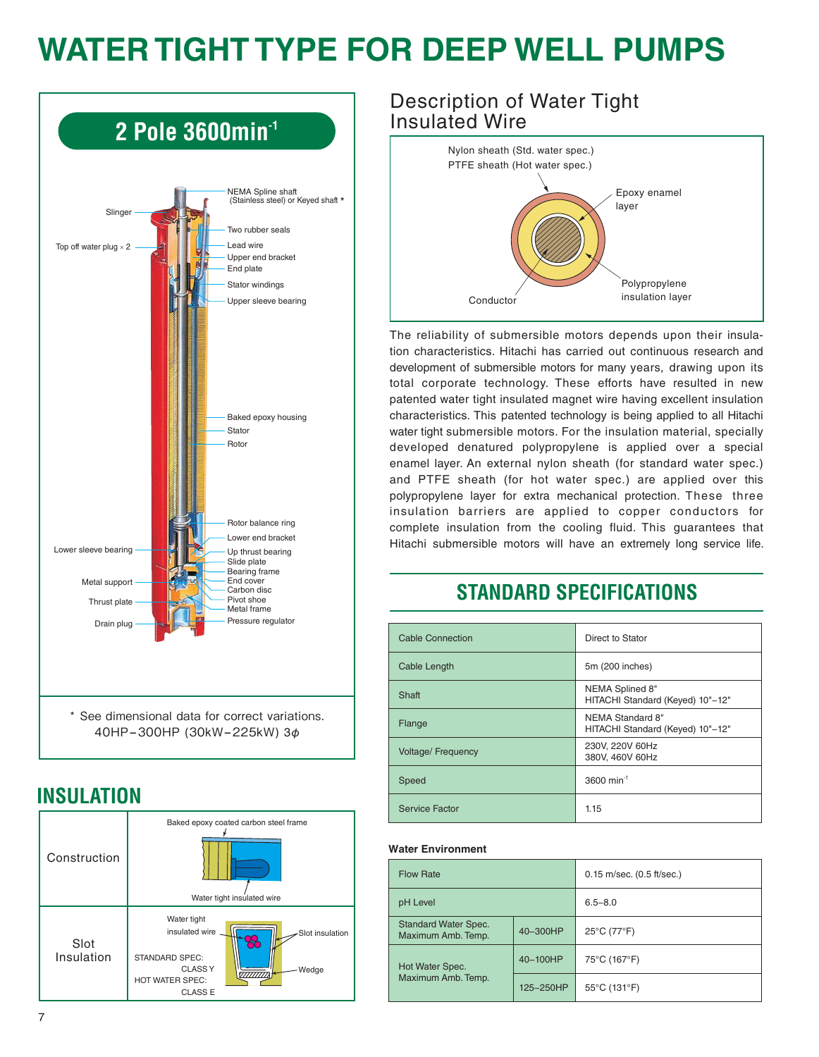# **WATER TIGHT TYPE FOR DEEP WELL PUMPS**



## **INSULATION**



#### Description of Water Tight Insulated Wire



The reliability of submersible motors depends upon their insulation characteristics. Hitachi has carried out continuous research and development of submersible motors for many years, drawing upon its total corporate technology. These efforts have resulted in new patented water tight insulated magnet wire having excellent insulation characteristics. This patented technology is being applied to all Hitachi water tight submersible motors. For the insulation material, specially developed denatured polypropylene is applied over a special enamel layer. An external nylon sheath (for standard water spec.) and PTFE sheath (for hot water spec.) are applied over this polypropylene layer for extra mechanical protection. These three insulation barriers are applied to copper conductors for complete insulation from the cooling fluid. This guarantees that Hitachi submersible motors will have an extremely long service life.

## **STANDARD SPECIFICATIONS**

| <b>Cable Connection</b>   | Direct to Stator                                     |
|---------------------------|------------------------------------------------------|
| Cable Length              | 5m (200 inches)                                      |
| Shaft                     | NEMA Splined 8"<br>HITACHI Standard (Keyed) 10"-12"  |
| Flange                    | NEMA Standard 8"<br>HITACHI Standard (Keyed) 10"-12" |
| <b>Voltage/ Frequency</b> | 230V, 220V 60Hz<br>380V, 460V 60Hz                   |
| Speed                     | 3600 min <sup>-1</sup>                               |
| Service Factor            | 1.15                                                 |

#### **Water Environment**

| <b>Flow Rate</b>                                  |           | $0.15$ m/sec. $(0.5$ ft/sec.) |  |  |  |
|---------------------------------------------------|-----------|-------------------------------|--|--|--|
| pH Level                                          |           | $6.5 - 8.0$                   |  |  |  |
| <b>Standard Water Spec.</b><br>Maximum Amb. Temp. | 40-300HP  | 25°C (77°F)                   |  |  |  |
| Hot Water Spec.                                   | 40-100HP  | 75°C (167°F)                  |  |  |  |
| Maximum Amb. Temp.                                | 125-250HP | 55°C (131°F)                  |  |  |  |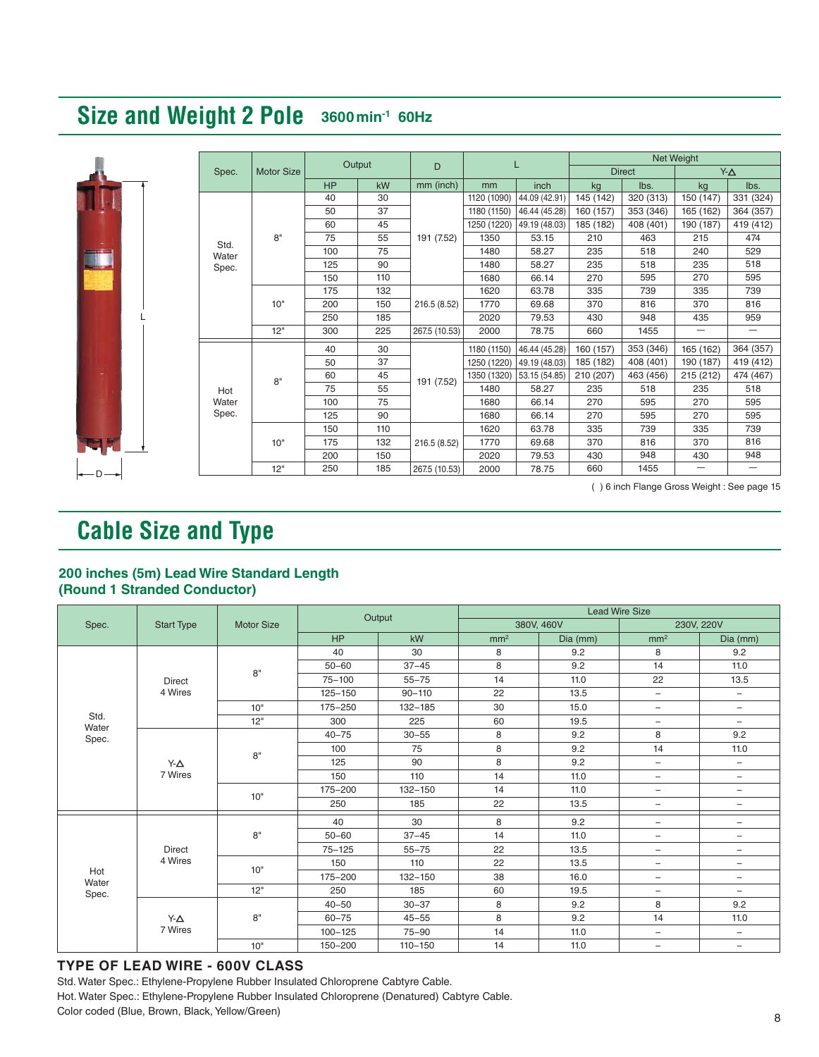## **Size and Weight 2 Pole 3600min-1 60Hz**



|       |                   | Output    |           |               |             | L             | Net Weight |               |           |                                                                                                                                                      |  |
|-------|-------------------|-----------|-----------|---------------|-------------|---------------|------------|---------------|-----------|------------------------------------------------------------------------------------------------------------------------------------------------------|--|
| Spec. | <b>Motor Size</b> |           |           | D             |             |               |            | <b>Direct</b> |           | $Y-\Delta$                                                                                                                                           |  |
|       |                   | <b>HP</b> | <b>kW</b> | mm (inch)     | mm          | inch          | kg         | lbs.          | kg        | lbs.<br>419 (412)<br>474<br>529<br>518<br>595<br>739<br>816<br>959<br>$\overline{\phantom{0}}$<br>419 (412)<br>474 (467)<br>518<br>595<br>595<br>739 |  |
|       |                   | 40        | 30        |               | 1120 (1090) | 44.09 (42.91) | 145 (142)  | 320 (313)     | 150 (147) | 331 (324)                                                                                                                                            |  |
|       |                   | 50        | 37        |               | 1180 (1150) | 46.44 (45.28) | 160 (157)  | 353 (346)     | 165 (162) | 364 (357)                                                                                                                                            |  |
|       |                   | 60        | 45        |               | 1250 (1220) | 49.19 (48.03) | 185 (182)  | 408 (401)     | 190 (187) |                                                                                                                                                      |  |
| Std.  | 8"                | 75        | 55        | 191 (7.52)    | 1350        | 53.15         | 210        | 463           | 215       |                                                                                                                                                      |  |
| Water |                   | 100       | 75        |               | 1480        | 58.27         | 235        | 518           | 240       |                                                                                                                                                      |  |
| Spec. |                   | 125       | 90        |               | 1480        | 58.27         | 235        | 518           | 235       |                                                                                                                                                      |  |
|       |                   | 150       | 110       |               | 1680        | 66.14         | 270        | 595           | 270       |                                                                                                                                                      |  |
|       |                   | 175       | 132       |               | 1620        | 63.78         | 335        | 739           | 335       |                                                                                                                                                      |  |
|       | 10"               | 200       | 150       | 216.5 (8.52)  | 1770        | 69.68         | 370        | 816           | 370       |                                                                                                                                                      |  |
|       |                   | 250       | 185       |               | 2020        | 79.53         | 430        | 948           | 435       |                                                                                                                                                      |  |
|       | 12"               | 300       | 225       | 267.5 (10.53) | 2000        | 78.75         | 660        | 1455          | —         |                                                                                                                                                      |  |
|       |                   | 40        | 30        |               | 1180 (1150) | 46.44 (45.28) | 160 (157)  | 353 (346)     | 165 (162) | 364 (357)                                                                                                                                            |  |
|       |                   | 50        | 37        |               | 1250 (1220) | 49.19 (48.03) | 185 (182)  | 408 (401)     | 190 (187) |                                                                                                                                                      |  |
|       | 8"                | 60        | 45        | 191 (7.52)    | 1350 (1320) | 53.15 (54.85) | 210 (207)  | 463 (456)     | 215 (212) |                                                                                                                                                      |  |
| Hot   |                   | 75        | 55        |               | 1480        | 58.27         | 235        | 518           | 235       |                                                                                                                                                      |  |
| Water |                   | 100       | 75        |               | 1680        | 66.14         | 270        | 595           | 270       |                                                                                                                                                      |  |
| Spec. |                   | 125       | 90        |               | 1680        | 66.14         | 270        | 595           | 270       |                                                                                                                                                      |  |
|       |                   | 150       | 110       |               | 1620        | 63.78         | 335        | 739           | 335       |                                                                                                                                                      |  |
|       | 10"               | 175       | 132       | 216.5 (8.52)  | 1770        | 69.68         | 370        | 816           | 370       | 816                                                                                                                                                  |  |
|       |                   | 200       | 150       |               | 2020        | 79.53         | 430        | 948           | 430       | 948                                                                                                                                                  |  |
|       | 12"               | 250       | 185       | 267.5 (10.53) | 2000        | 78.75         | 660        | 1455          |           |                                                                                                                                                      |  |

( ) 6 inch Flange Gross Weight : See page 15

## **Cable Size and Type**

#### **200 inches (5m) Lead Wire Standard Length (Round 1 Stranded Conductor)**

| Spec.                 | <b>Start Type</b>        | <b>Motor Size</b> | Output      |             | <b>Lead Wire Size</b> |            |                          |                          |  |  |
|-----------------------|--------------------------|-------------------|-------------|-------------|-----------------------|------------|--------------------------|--------------------------|--|--|
|                       |                          |                   |             |             |                       | 380V, 460V | 230V, 220V               |                          |  |  |
|                       |                          |                   | HP          | kW          | mm <sup>2</sup>       | Dia (mm)   | mm <sup>2</sup>          | Dia (mm)                 |  |  |
|                       | <b>Direct</b><br>4 Wires | 8"                | 40          | 30          | 8                     | 9.2        | 8                        | 9.2                      |  |  |
|                       |                          |                   | $50 - 60$   | $37 - 45$   | 8                     | 9.2        | 14                       | 11.0                     |  |  |
|                       |                          |                   | $75 - 100$  | $55 - 75$   | 14                    | 11.0       | 22                       | 13.5                     |  |  |
|                       |                          |                   | $125 - 150$ | $90 - 110$  | 22                    | 13.5       | $\overline{\phantom{a}}$ | $\overline{\phantom{a}}$ |  |  |
|                       |                          | 10"               | 175-250     | 132-185     | 30                    | 15.0       | $\overline{\phantom{0}}$ | $\overline{\phantom{m}}$ |  |  |
| Std.<br>Water         |                          | 12"               | 300         | 225         | 60                    | 19.5       | $\overline{\phantom{a}}$ | $\overline{\phantom{m}}$ |  |  |
| Spec.                 | Y-A<br>7 Wires           | 8"                | $40 - 75$   | $30 - 55$   | 8                     | 9.2        | 8                        | 9.2                      |  |  |
|                       |                          |                   | 100         | 75          | 8                     | 9.2        | 14                       | 11.0                     |  |  |
|                       |                          |                   | 125         | 90          | 8                     | 9.2        | $\qquad \qquad -$        | $\overline{\phantom{m}}$ |  |  |
|                       |                          |                   | 150         | 110         | 14                    | 11.0       | $\overline{\phantom{0}}$ | $\overline{\phantom{m}}$ |  |  |
|                       |                          | 10"               | 175-200     | 132-150     | 14                    | 11.0       | $\overline{\phantom{a}}$ | $\overline{\phantom{m}}$ |  |  |
|                       |                          |                   | 250         | 185         | 22                    | 13.5       | -                        | $\overline{\phantom{m}}$ |  |  |
|                       | <b>Direct</b><br>4 Wires | 8"                | 40          | 30          | 8                     | 9.2        | Ξ.                       | $\overline{\phantom{a}}$ |  |  |
|                       |                          |                   | $50 - 60$   | $37 - 45$   | 14                    | 11.0       | -                        | $\overline{\phantom{m}}$ |  |  |
|                       |                          |                   | $75 - 125$  | $55 - 75$   | 22                    | 13.5       | -                        | $\overline{\phantom{m}}$ |  |  |
| Hot<br>Water<br>Spec. |                          | 10"               | 150         | 110         | 22                    | 13.5       | -                        | $\qquad \qquad -$        |  |  |
|                       |                          |                   | 175-200     | $132 - 150$ | 38                    | 16.0       | $\overline{\phantom{0}}$ | $\overline{\phantom{m}}$ |  |  |
|                       |                          | 12"               | 250         | 185         | 60                    | 19.5       | $\overline{\phantom{a}}$ | $\overline{\phantom{a}}$ |  |  |
|                       | Y-Δ<br>7 Wires           | 8"                | $40 - 50$   | $30 - 37$   | 8                     | 9.2        | 8                        | 9.2                      |  |  |
|                       |                          |                   | $60 - 75$   | $45 - 55$   | 8                     | 9.2        | 14                       | 11.0                     |  |  |
|                       |                          |                   | $100 - 125$ | $75 - 90$   | 14                    | 11.0       | $\overline{\phantom{a}}$ | $\overline{\phantom{m}}$ |  |  |
|                       |                          | 10"               | 150-200     | $110 - 150$ | 14                    | 11.0       | $\overline{\phantom{a}}$ | $\overline{\phantom{m}}$ |  |  |

#### **TYPE OF LEAD WIRE - 600V CLASS**

Std. Water Spec.: Ethylene-Propylene Rubber Insulated Chloroprene Cabtyre Cable. Hot. Water Spec.: Ethylene-Propylene Rubber Insulated Chloroprene (Denatured) Cabtyre Cable. Color coded (Blue, Brown, Black, Yellow/Green)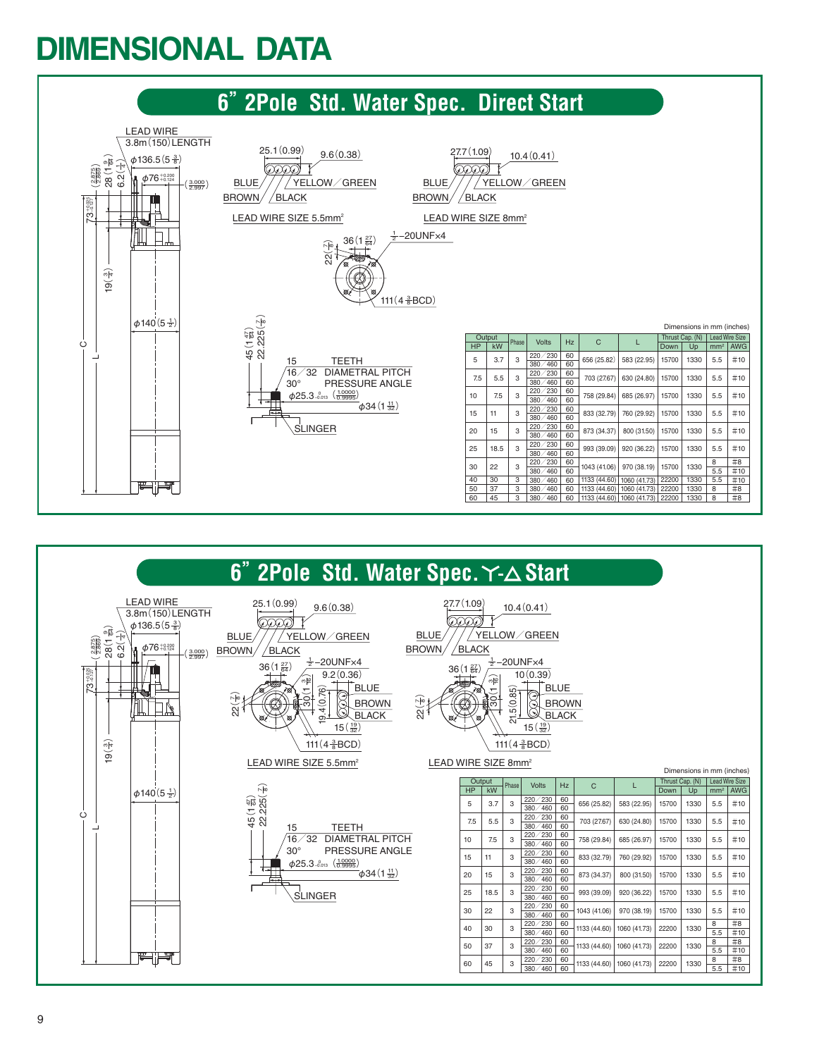# **DIMENSIONAL DATA**



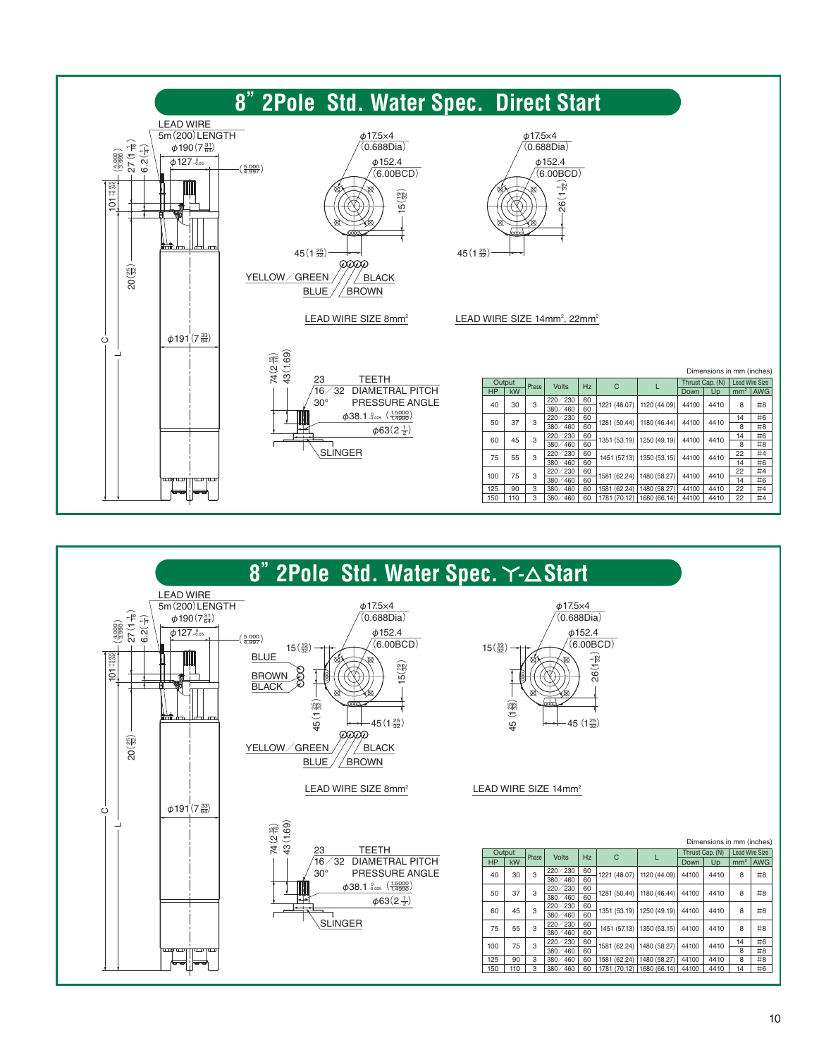

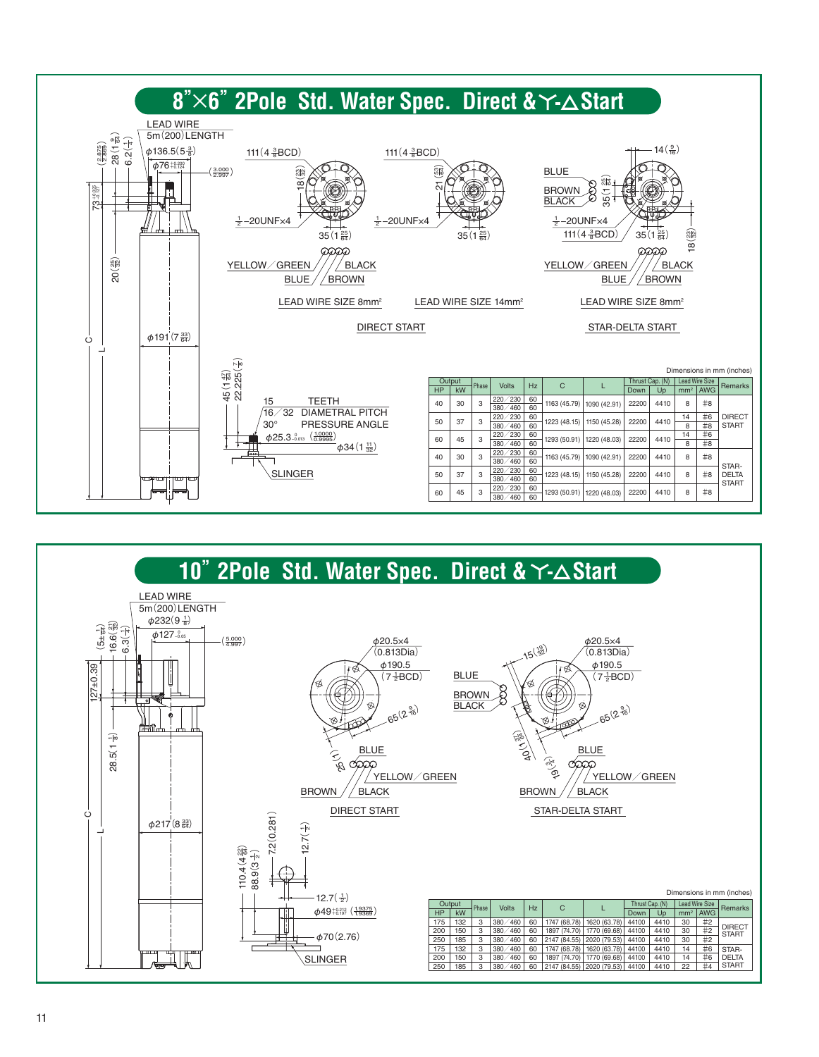

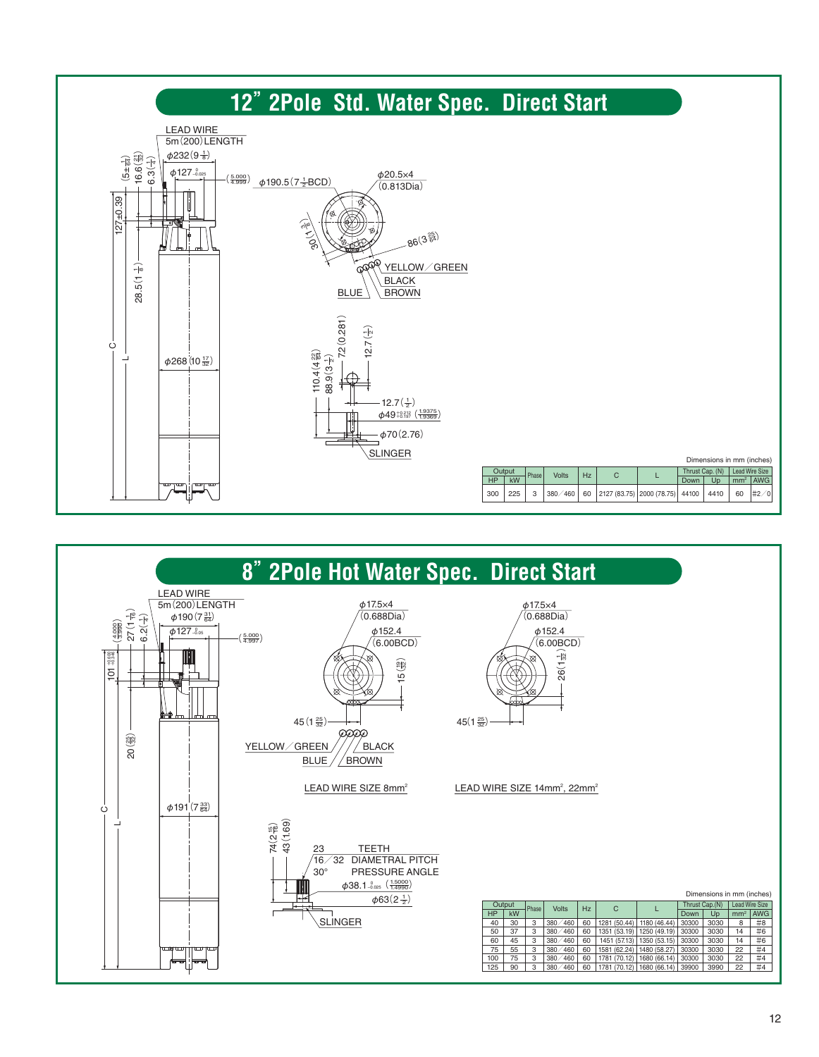

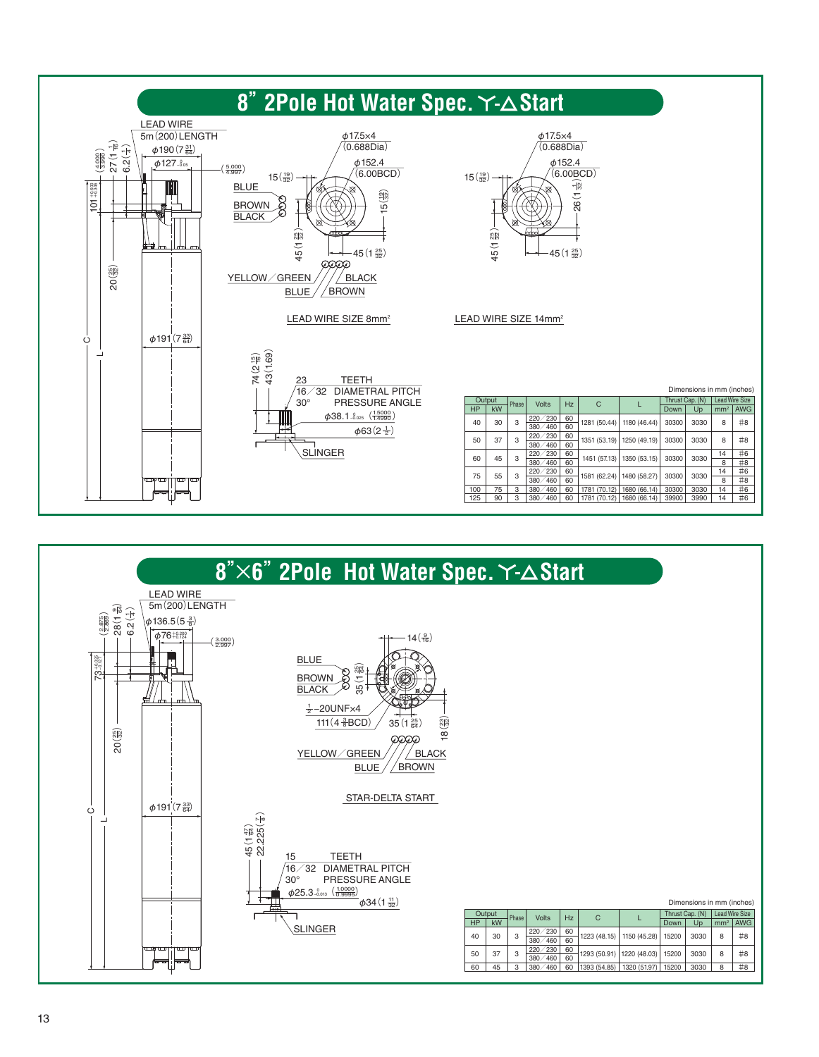

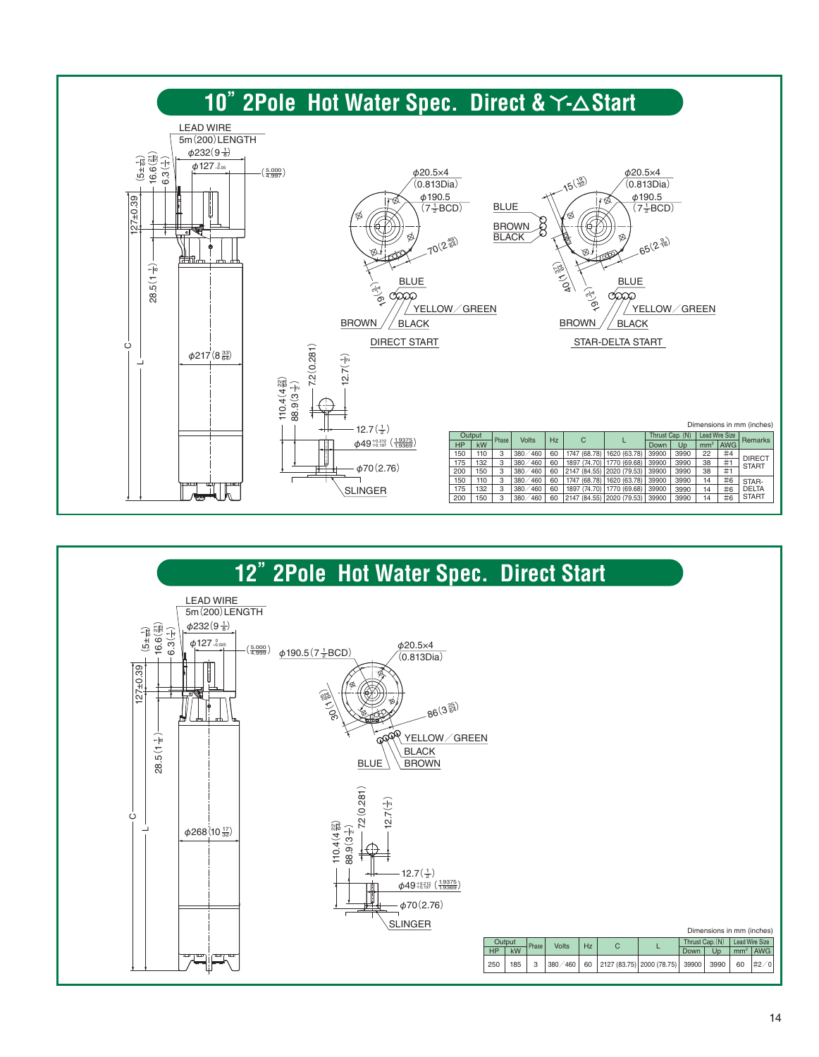